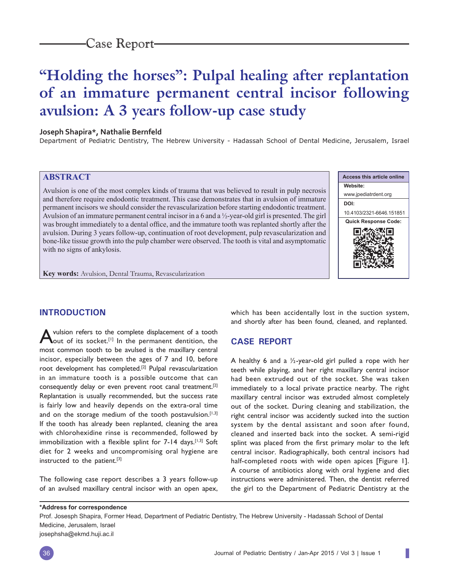# **"Holding the horses": Pulpal healing after replantation of an immature permanent central incisor following avulsion: A 3 years follow-up case study**

#### **Joseph Shapira\*, Nathalie Bernfeld**

Department of Pediatric Dentistry, The Hebrew University - Hadassah School of Dental Medicine, Jerusalem, Israel

## **ABSTRACT**

Avulsion is one of the most complex kinds of trauma that was believed to result in pulp necrosis and therefore require endodontic treatment. This case demonstrates that in avulsion of immature permanent incisors we should consider the revascularization before starting endodontic treatment. Avulsion of an immature permanent central incisor in a 6 and a ½-year-old girl is presented. The girl was brought immediately to a dental office, and the immature tooth was replanted shortly after the avulsion. During 3 years follow-up, continuation of root development, pulp revascularization and bone-like tissue growth into the pulp chamber were observed. The tooth is vital and asymptomatic with no signs of ankylosis.

ı

**Key words:** Avulsion, Dental Trauma, Revascularization

## **INTRODUCTION**

A vulsion refers to the complete displacement of a tooth out of its socket.<sup>[1]</sup> In the permanent dentition, the most common tooth to be avulsed is the maxillary central incisor, especially between the ages of 7 and 10, before root development has completed.<sup>[2]</sup> Pulpal revascularization in an immature tooth is a possible outcome that can consequently delay or even prevent root canal treatment.[2] Replantation is usually recommended, but the success rate is fairly low and heavily depends on the extra-oral time and on the storage medium of the tooth postavulsion.<sup>[1,3]</sup> If the tooth has already been replanted, cleaning the area with chlorohexidine rinse is recommended, followed by immobilization with a flexible splint for  $7-14$  days.<sup>[1,3]</sup> Soft diet for 2 weeks and uncompromising oral hygiene are instructed to the patient.[3]

The following case report describes a 3 years follow-up of an avulsed maxillary central incisor with an open apex, which has been accidentally lost in the suction system, and shortly after has been found, cleaned, and replanted.

## **CASE REPORT**

A healthy 6 and a  $\frac{1}{2}$ -year-old girl pulled a rope with her teeth while playing, and her right maxillary central incisor had been extruded out of the socket. She was taken immediately to a local private practice nearby. The right maxillary central incisor was extruded almost completely out of the socket. During cleaning and stabilization, the right central incisor was accidently sucked into the suction system by the dental assistant and soon after found, cleaned and inserted back into the socket. A semi-rigid splint was placed from the first primary molar to the left central incisor. Radiographically, both central incisors had half-completed roots with wide open apices [Figure 1]. A course of antibiotics along with oral hygiene and diet instructions were administered. Then, the dentist referred the girl to the Department of Pediatric Dentistry at the

**\*Address for correspondence**

Prof. Josesph Shapira, Former Head, Department of Pediatric Dentistry, The Hebrew University - Hadassah School of Dental Medicine, Jerusalem, Israel

josephsha@ekmd.huji.ac.il

**Access this article online Website:** www.jpediatrdent.org **DOI:** 10.4103/2321-6646.151851 **Quick Response Code:** ш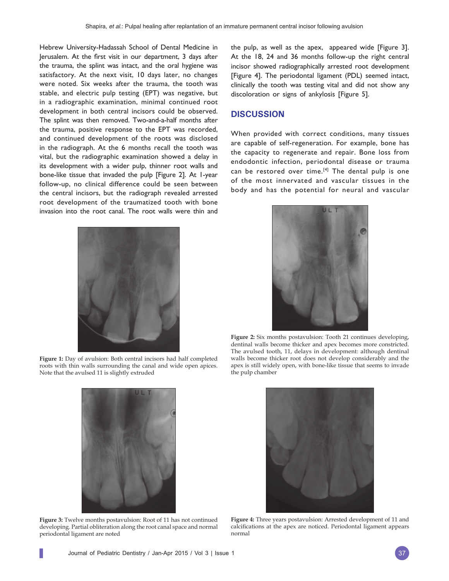Hebrew University-Hadassah School of Dental Medicine in Jerusalem. At the first visit in our department, 3 days after the trauma, the splint was intact, and the oral hygiene was satisfactory. At the next visit, 10 days later, no changes were noted. Six weeks after the trauma, the tooth was stable, and electric pulp testing (EPT) was negative, but in a radiographic examination, minimal continued root development in both central incisors could be observed. The splint was then removed. Two-and-a-half months after the trauma, positive response to the EPT was recorded, and continued development of the roots was disclosed in the radiograph. At the 6 months recall the tooth was vital, but the radiographic examination showed a delay in its development with a wider pulp, thinner root walls and bone-like tissue that invaded the pulp [Figure 2]. At 1-year follow-up, no clinical difference could be seen between the central incisors, but the radiograph revealed arrested root development of the traumatized tooth with bone invasion into the root canal. The root walls were thin and



**Figure 1:** Day of avulsion: Both central incisors had half completed roots with thin walls surrounding the canal and wide open apices. Note that the avulsed 11 is slightly extruded



**Figure 3:** Twelve months postavulsion: Root of 11 has not continued developing. Partial obliteration along the root canal space and normal periodontal ligament are noted

the pulp, as well as the apex, appeared wide [Figure 3]. At the 18, 24 and 36 months follow-up the right central incisor showed radiographically arrested root development [Figure 4]. The periodontal ligament (PDL) seemed intact, clinically the tooth was testing vital and did not show any discoloration or signs of ankylosis [Figure 5].

#### **DISCUSSION**

When provided with correct conditions, many tissues are capable of self-regeneration. For example, bone has the capacity to regenerate and repair. Bone loss from endodontic infection, periodontal disease or trauma can be restored over time.<sup>[4]</sup> The dental pulp is one of the most innervated and vascular tissues in the body and has the potential for neural and vascular



**Figure 2:** Six months postavulsion: Tooth 21 continues developing, dentinal walls become thicker and apex becomes more constricted. The avulsed tooth, 11, delays in development: although dentinal walls become thicker root does not develop considerably and the apex is still widely open, with bone-like tissue that seems to invade the pulp chamber



**Figure 4:** Three years postavulsion: Arrested development of 11 and calcifications at the apex are noticed. Periodontal ligament appears normal